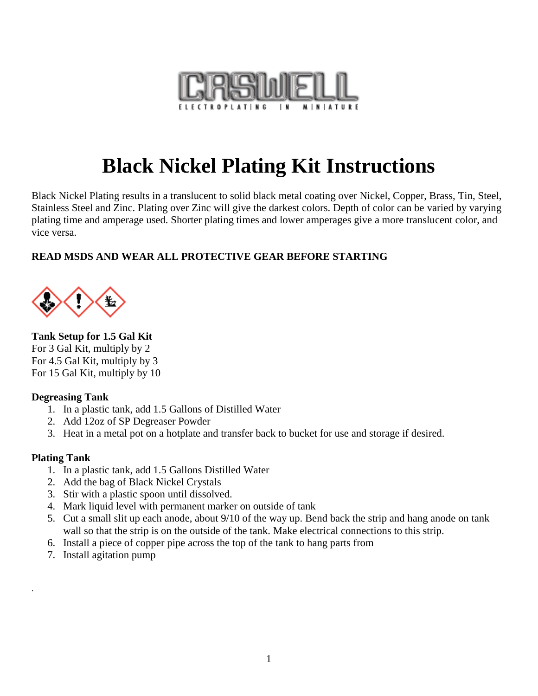

# **Black Nickel Plating Kit Instructions**

Black Nickel Plating results in a translucent to solid black metal coating over Nickel, Copper, Brass, Tin, Steel, Stainless Steel and Zinc. Plating over Zinc will give the darkest colors. Depth of color can be varied by varying plating time and amperage used. Shorter plating times and lower amperages give a more translucent color, and vice versa.

## **READ MSDS AND WEAR ALL PROTECTIVE GEAR BEFORE STARTING**



#### **Tank Setup for 1.5 Gal Kit** For 3 Gal Kit, multiply by 2

For 4.5 Gal Kit, multiply by 3 For 15 Gal Kit, multiply by 10

## **Degreasing Tank**

- 1. In a plastic tank, add 1.5 Gallons of Distilled Water
- 2. Add 12oz of SP Degreaser Powder
- 3. Heat in a metal pot on a hotplate and transfer back to bucket for use and storage if desired.

## **Plating Tank**

.

- 1. In a plastic tank, add 1.5 Gallons Distilled Water
- 2. Add the bag of Black Nickel Crystals
- 3. Stir with a plastic spoon until dissolved.
- 4. Mark liquid level with permanent marker on outside of tank
- 5. Cut a small slit up each anode, about 9/10 of the way up. Bend back the strip and hang anode on tank wall so that the strip is on the outside of the tank. Make electrical connections to this strip.
- 6. Install a piece of copper pipe across the top of the tank to hang parts from
- 7. Install agitation pump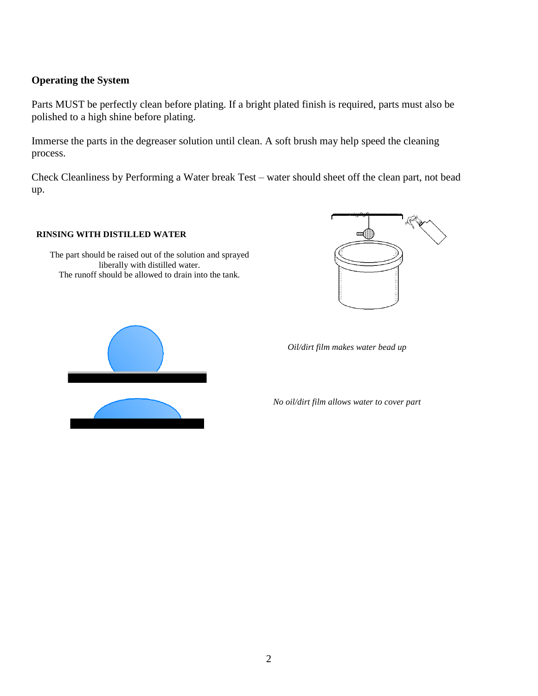#### **Operating the System**

Parts MUST be perfectly clean before plating. If a bright plated finish is required, parts must also be polished to a high shine before plating.

Immerse the parts in the degreaser solution until clean. A soft brush may help speed the cleaning process.

Check Cleanliness by Performing a Water break Test – water should sheet off the clean part, not bead up.

#### **RINSING WITH DISTILLED WATER**

The part should be raised out of the solution and sprayed liberally with distilled water. The runoff should be allowed to drain into the tank.





*Oil/dirt film makes water bead up*

*No oil/dirt film allows water to cover part*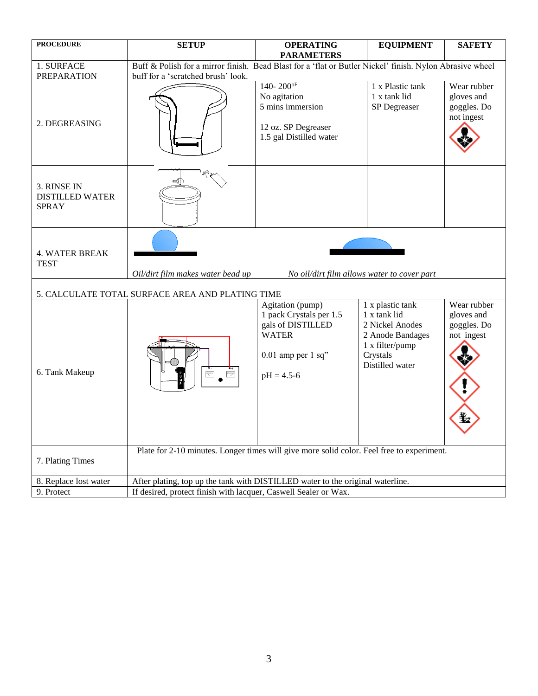| <b>PROCEDURE</b>                                      | <b>SETUP</b>                                                                                                                                   | <b>OPERATING</b><br><b>PARAMETERS</b>                                                                                      | <b>EQUIPMENT</b>                                                                                                          | <b>SAFETY</b>                                               |  |
|-------------------------------------------------------|------------------------------------------------------------------------------------------------------------------------------------------------|----------------------------------------------------------------------------------------------------------------------------|---------------------------------------------------------------------------------------------------------------------------|-------------------------------------------------------------|--|
| 1. SURFACE<br><b>PREPARATION</b>                      | Buff & Polish for a mirror finish. Bead Blast for a 'flat or Butler Nickel' finish. Nylon Abrasive wheel<br>buff for a 'scratched brush' look. |                                                                                                                            |                                                                                                                           |                                                             |  |
| 2. DEGREASING                                         |                                                                                                                                                | $140 - 200$ <sup>oF</sup><br>No agitation<br>5 mins immersion<br>12 oz. SP Degreaser<br>1.5 gal Distilled water            | 1 x Plastic tank<br>1 x tank lid<br>SP Degreaser                                                                          | Wear rubber<br>gloves and<br>goggles. Do<br>not ingest      |  |
| 3. RINSE IN<br><b>DISTILLED WATER</b><br><b>SPRAY</b> |                                                                                                                                                |                                                                                                                            |                                                                                                                           |                                                             |  |
| <b>4. WATER BREAK</b><br><b>TEST</b>                  | Oil/dirt film makes water bead up<br>No oil/dirt film allows water to cover part                                                               |                                                                                                                            |                                                                                                                           |                                                             |  |
| 5. CALCULATE TOTAL SURFACE AREA AND PLATING TIME      |                                                                                                                                                |                                                                                                                            |                                                                                                                           |                                                             |  |
| 6. Tank Makeup                                        |                                                                                                                                                | Agitation (pump)<br>1 pack Crystals per 1.5<br>gals of DISTILLED<br><b>WATER</b><br>$0.01$ amp per 1 sq"<br>$pH = 4.5 - 6$ | 1 x plastic tank<br>1 x tank lid<br>2 Nickel Anodes<br>2 Anode Bandages<br>1 x filter/pump<br>Crystals<br>Distilled water | Wear rubber<br>gloves and<br>goggles. Do<br>not ingest<br>耊 |  |
| 7. Plating Times                                      | Plate for 2-10 minutes. Longer times will give more solid color. Feel free to experiment.                                                      |                                                                                                                            |                                                                                                                           |                                                             |  |
| 8. Replace lost water                                 | After plating, top up the tank with DISTILLED water to the original waterline.                                                                 |                                                                                                                            |                                                                                                                           |                                                             |  |
| 9. Protect                                            | If desired, protect finish with lacquer, Caswell Sealer or Wax.                                                                                |                                                                                                                            |                                                                                                                           |                                                             |  |